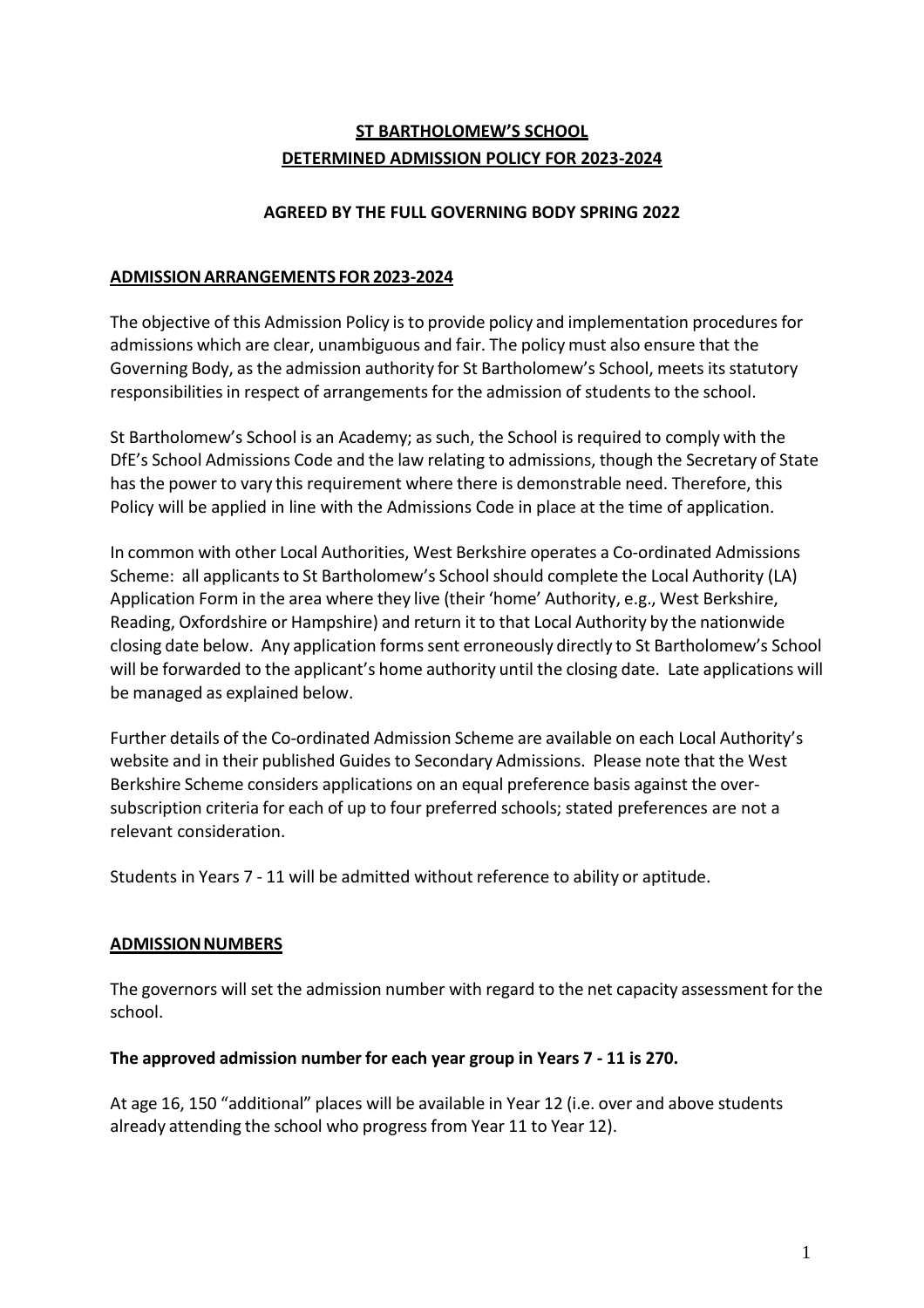# **ST BARTHOLOMEW'S SCHOOL DETERMINED ADMISSION POLICY FOR 2023-2024**

#### **AGREED BY THE FULL GOVERNING BODY SPRING 2022**

#### **ADMISSIONARRANGEMENTS FOR 2023-2024**

The objective of this Admission Policy is to provide policy and implementation proceduresfor admissions which are clear, unambiguous and fair. The policy must also ensure that the Governing Body, asthe admission authority for St Bartholomew's School, meets its statutory responsibilities in respect of arrangements for the admission of students to the school.

St Bartholomew's School is an Academy; as such, the School is required to comply with the DfE's School Admissions Code and the law relating to admissions, though the Secretary of State has the power to vary this requirement where there is demonstrable need. Therefore, this Policy will be applied in line with the Admissions Code in place at the time of application.

In common with other Local Authorities, West Berkshire operates a Co-ordinated Admissions Scheme: all applicants to St Bartholomew's School should complete the Local Authority (LA) Application Form in the area where they live (their 'home' Authority, e.g., West Berkshire, Reading, Oxfordshire or Hampshire) and return it to that Local Authority by the nationwide closing date below. Any application formssent erroneously directly to St Bartholomew's School will be forwarded to the applicant's home authority until the closing date. Late applications will be managed as explained below.

Further details of the Co-ordinated Admission Scheme are available on each Local Authority's website and in their published Guides to Secondary Admissions. Please note that the West Berkshire Scheme considers applications on an equal preference basis against the oversubscription criteria for each of up to four preferred schools; stated preferences are not a relevant consideration.

Students in Years 7 - 11 will be admitted without reference to ability or aptitude.

#### **ADMISSIONNUMBERS**

The governors will set the admission number with regard to the net capacity assessment for the school.

#### **The approved admission number for each year group in Years 7 - 11 is 270.**

At age 16, 150 "additional" places will be available in Year 12 (i.e. over and above students already attending the school who progressfrom Year 11 to Year 12).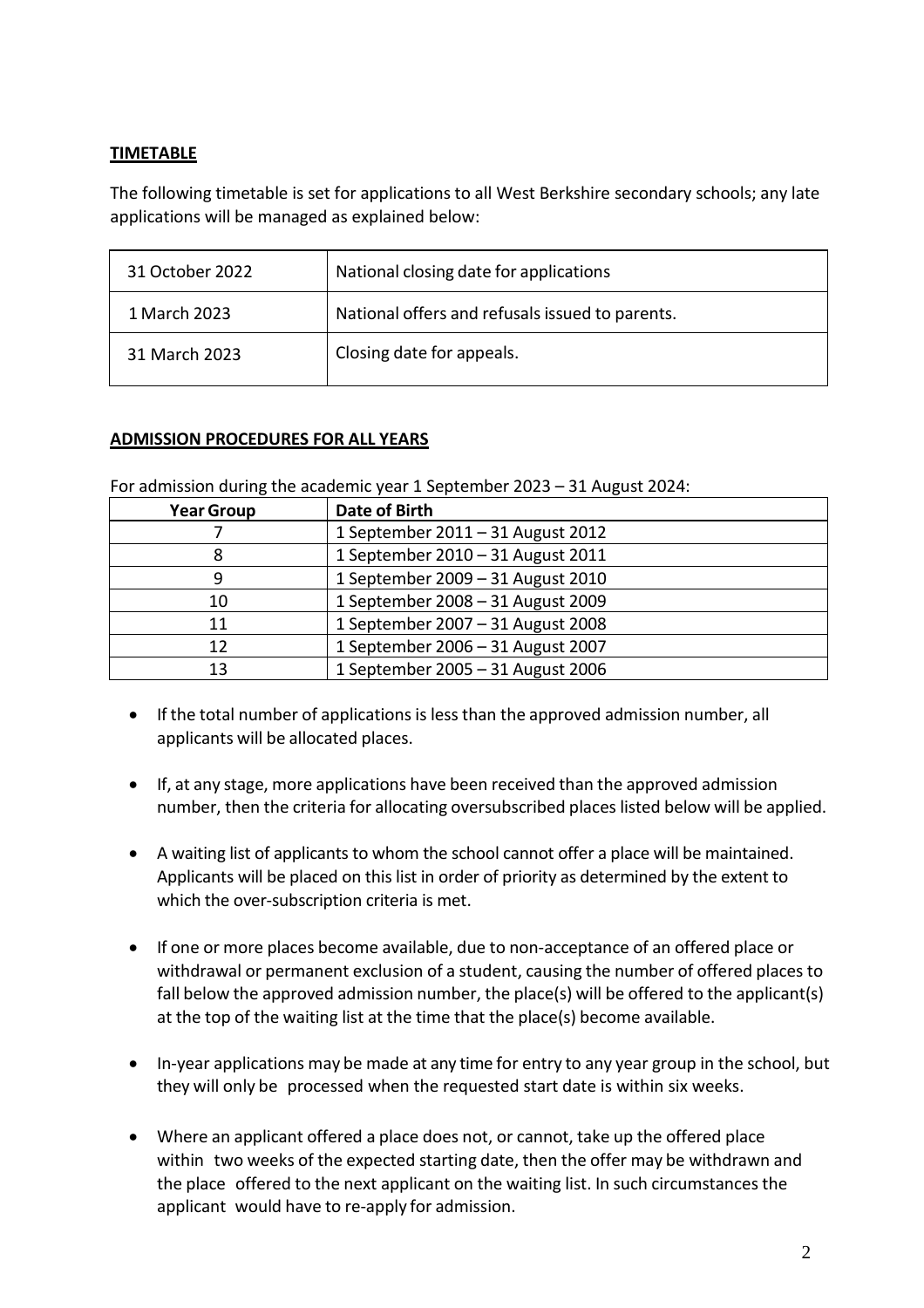## **TIMETABLE**

The following timetable is set for applications to all West Berkshire secondary schools; any late applications will be managed as explained below:

| 31 October 2022 | National closing date for applications          |
|-----------------|-------------------------------------------------|
| 1 March 2023    | National offers and refusals issued to parents. |
| 31 March 2023   | Closing date for appeals.                       |

#### **ADMISSION PROCEDURES FOR ALL YEARS**

For admission during the academic year 1 September 2023 – 31 August 2024:

| <b>Year Group</b> | <b>Date of Birth</b>              |
|-------------------|-----------------------------------|
|                   | 1 September 2011 - 31 August 2012 |
|                   | 1 September 2010 - 31 August 2011 |
|                   | 1 September 2009 - 31 August 2010 |
| 10                | 1 September 2008 - 31 August 2009 |
| 11                | 1 September 2007 - 31 August 2008 |
| 12                | 1 September 2006 - 31 August 2007 |
| 13                | 1 September 2005 - 31 August 2006 |

- If the total number of applications is lessthan the approved admission number, all applicants will be allocated places.
- If, at any stage, more applications have been received than the approved admission number, then the criteria for allocating oversubscribed places listed below will be applied.
- A waiting list of applicants to whom the school cannot offer a place will be maintained. Applicants will be placed on this list in order of priority as determined by the extent to which the over-subscription criteria is met.
- If one or more places become available, due to non-acceptance of an offered place or withdrawal or permanent exclusion of a student, causing the number of offered places to fall below the approved admission number, the place(s) will be offered to the applicant(s) at the top of the waiting list at the time that the place(s) become available.
- In-year applications may be made at any time for entry to any year group in the school, but they will only be processed when the requested start date is within six weeks.
- Where an applicant offered a place does not, or cannot, take up the offered place within two weeks of the expected starting date, then the offer may be withdrawn and the place offered to the next applicant on the waiting list. In such circumstances the applicant would have to re-apply for admission.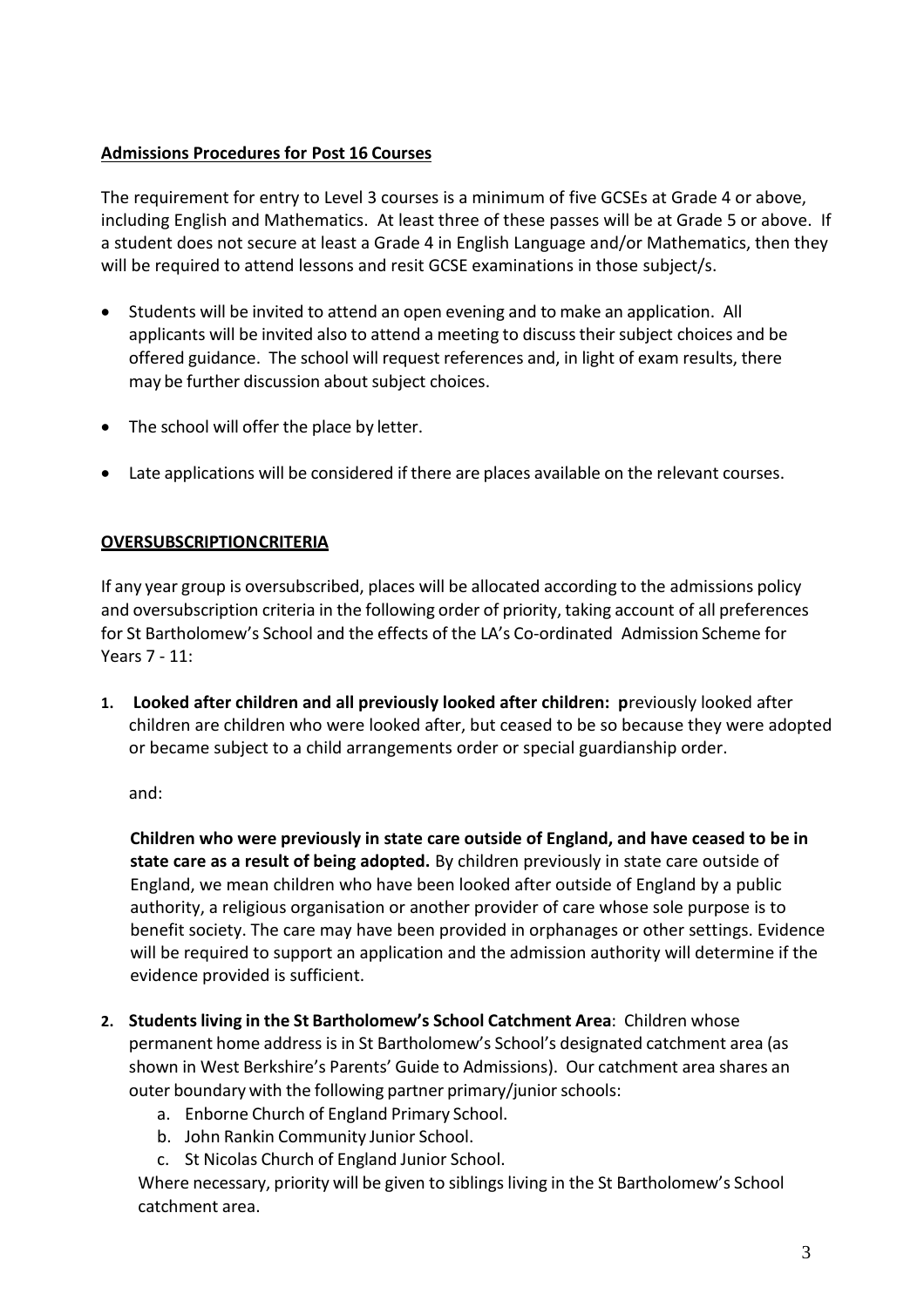## **Admissions Procedures for Post 16 Courses**

The requirement for entry to Level 3 courses is a minimum of five GCSEs at Grade 4 or above, including English and Mathematics. At least three of these passes will be at Grade 5 or above. If a student does not secure at least a Grade 4 in English Language and/or Mathematics, then they will be required to attend lessons and resit GCSE examinations in those subject/s.

- Students will be invited to attend an open evening and to make an application. All applicants will be invited also to attend a meeting to discuss their subject choices and be offered guidance. The school will request references and, in light of exam results, there may be further discussion about subject choices.
- The school will offer the place by letter.
- Late applications will be considered if there are places available on the relevant courses.

## **OVERSUBSCRIPTIONCRITERIA**

If any year group is oversubscribed, places will be allocated according to the admissions policy and oversubscription criteria in the following order of priority, taking account of all preferences for St Bartholomew's School and the effects of the LA's Co-ordinated Admission Scheme for Years 7 - 11:

**1. Looked after children and all previously looked after children: p**reviously looked after children are children who were looked after, but ceased to be so because they were adopted or became subject to a child arrangements order or special guardianship order.

and:

**Children who were previously in state care outside of England, and have ceased to be in state care as a result of being adopted.** By children previously in state care outside of England, we mean children who have been looked after outside of England by a public authority, a religious organisation or another provider of care whose sole purpose is to benefit society. The care may have been provided in orphanages or other settings. Evidence will be required to support an application and the admission authority will determine if the evidence provided is sufficient.

- **2. Studentsliving in the St Bartholomew's School Catchment Area**: Children whose permanent home address is in St Bartholomew's School's designated catchment area (as shown in West Berkshire's Parents' Guide to Admissions). Our catchment area shares an outer boundary with the following partner primary/junior schools:
	- a. Enborne Church of England Primary School.
	- b. John Rankin Community Junior School.
	- c. St Nicolas Church of England Junior School.

Where necessary, priority will be given to siblings living in the St Bartholomew's School catchment area.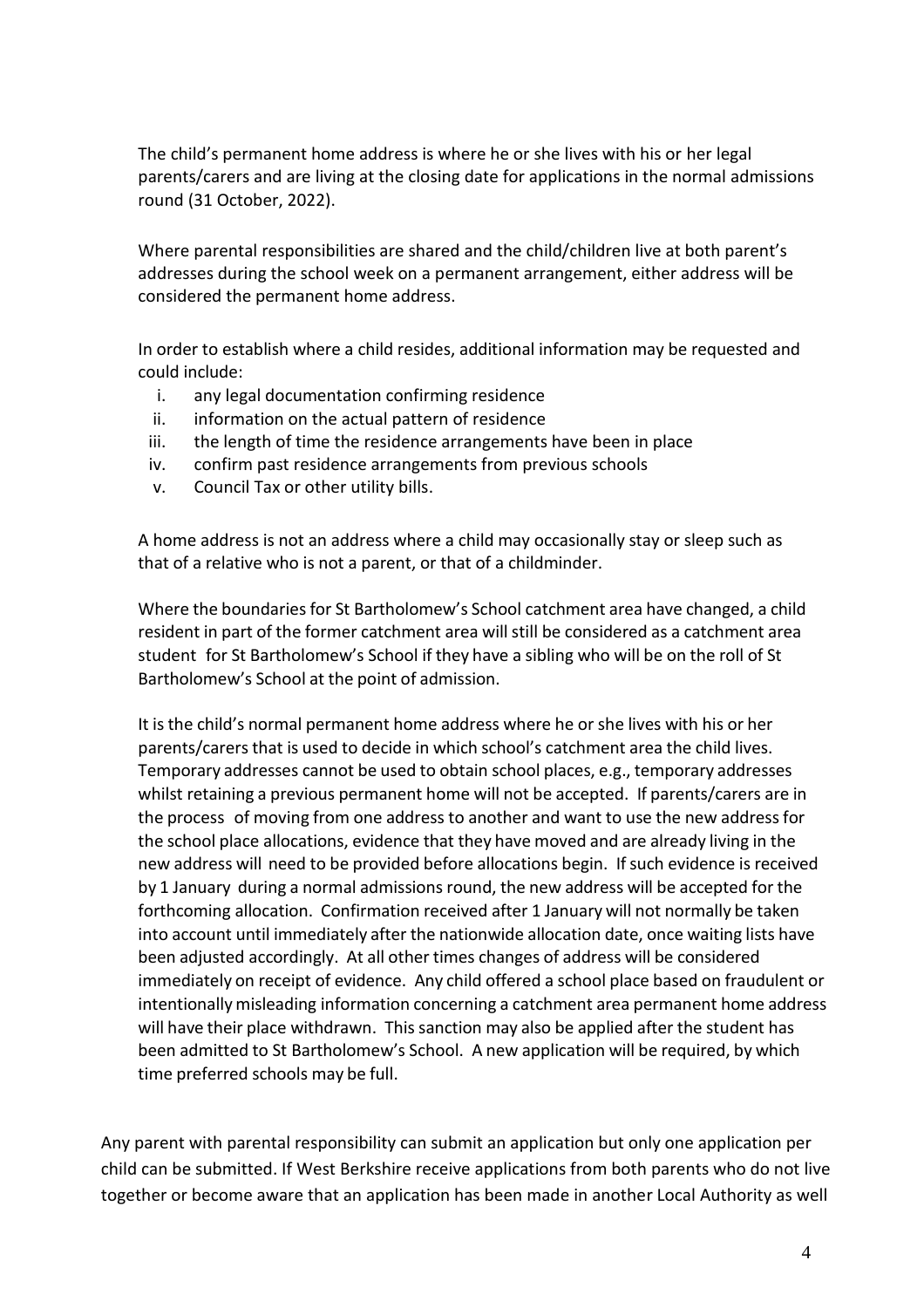The child's permanent home address is where he or she lives with his or her legal parents/carers and are living at the closing date for applications in the normal admissions round (31 October, 2022).

Where parental responsibilities are shared and the child/children live at both parent's addresses during the school week on a permanent arrangement, either address will be considered the permanent home address.

In order to establish where a child resides, additional information may be requested and could include:

- i. any legal documentation confirming residence
- ii. information on the actual pattern of residence
- iii. the length of time the residence arrangements have been in place
- iv. confirm past residence arrangements from previous schools
- v. Council Tax or other utility bills.

A home address is not an address where a child may occasionally stay or sleep such as that of a relative who is not a parent, or that of a childminder.

Where the boundaries for St Bartholomew's School catchment area have changed, a child resident in part of the former catchment area willstill be considered as a catchment area student for St Bartholomew's School if they have a sibling who will be on the roll of St Bartholomew's School at the point of admission.

It is the child's normal permanent home address where he or she lives with his or her parents/carersthat is used to decide in which school's catchment area the child lives. Temporary addresses cannot be used to obtain school places, e.g., temporary addresses whilst retaining a previous permanent home will not be accepted. If parents/carers are in the process of moving from one address to another and want to use the new addressfor the school place allocations, evidence that they have moved and are already living in the new address will need to be provided before allocations begin. If such evidence is received by 1 January during a normal admissions round, the new address will be accepted for the forthcoming allocation. Confirmation received after 1 January will not normally be taken into account until immediately after the nationwide allocation date, once waiting lists have been adjusted accordingly. At all other times changes of address will be considered immediately on receipt of evidence. Any child offered a school place based on fraudulent or intentionally misleading information concerning a catchment area permanent home address will have their place withdrawn. This sanction may also be applied after the student has been admitted to St Bartholomew's School. A new application will be required, by which time preferred schools may be full.

Any parent with parental responsibility can submit an application but only one application per child can be submitted. If West Berkshire receive applications from both parents who do not live together or become aware that an application has been made in another Local Authority as well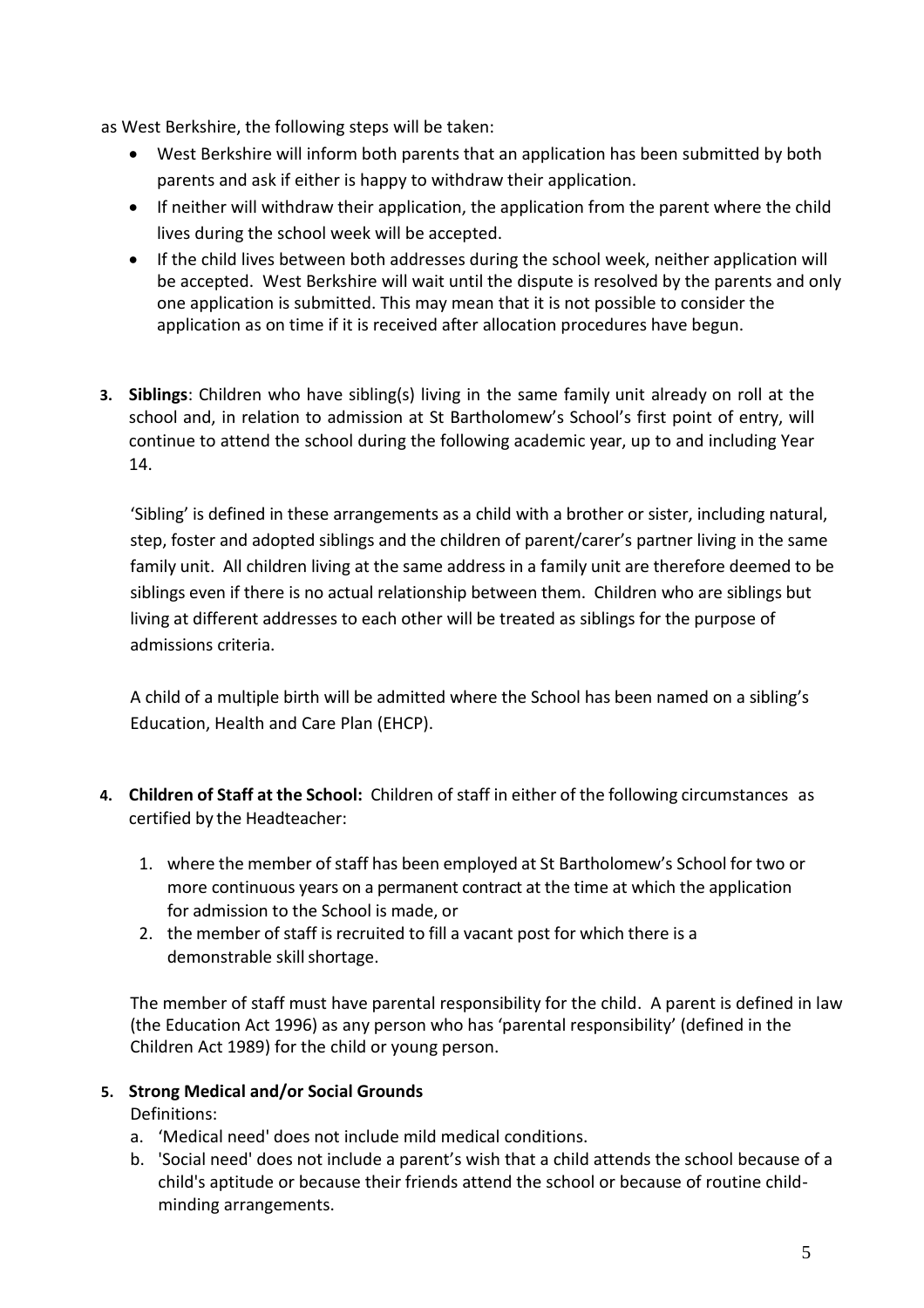as West Berkshire, the following steps will be taken:

- West Berkshire will inform both parents that an application has been submitted by both parents and ask if either is happy to withdraw their application.
- If neither will withdraw their application, the application from the parent where the child lives during the school week will be accepted.
- If the child lives between both addresses during the school week, neither application will be accepted. West Berkshire will wait until the dispute is resolved by the parents and only one application is submitted. This may mean that it is not possible to consider the application as on time if it is received after allocation procedures have begun.
- **3. Siblings**: Children who have sibling(s) living in the same family unit already on roll at the school and, in relation to admission at St Bartholomew's School's first point of entry, will continue to attend the school during the following academic year, up to and including Year 14.

'Sibling' is defined in these arrangements as a child with a brother or sister, including natural, step, foster and adopted siblings and the children of parent/carer's partner living in the same family unit. All children living at the same address in a family unit are therefore deemed to be siblings even if there is no actual relationship between them. Children who are siblings but living at different addresses to each other will be treated as siblings for the purpose of admissions criteria.

A child of a multiple birth will be admitted where the School has been named on a sibling's Education, Health and Care Plan (EHCP).

- **4. Children of Staff at the School:** Children of staff in either of the following circumstances as certified by the Headteacher:
	- 1. where the member of staff has been employed at St Bartholomew's School for two or more continuous years on a permanent contract at the time at which the application for admission to the School is made, or
	- 2. the member of staff is recruited to fill a vacant post for which there is a demonstrable skill shortage.

The member of staff must have parental responsibility for the child. A parent is defined in law (the Education Act 1996) as any person who has 'parental responsibility' (defined in the Children Act 1989) for the child or young person.

#### **5. Strong Medical and/or Social Grounds**

Definitions:

- a. 'Medical need' does not include mild medical conditions.
- b. 'Social need' does not include a parent's wish that a child attends the school because of a child's aptitude or because their friends attend the school or because of routine childminding arrangements.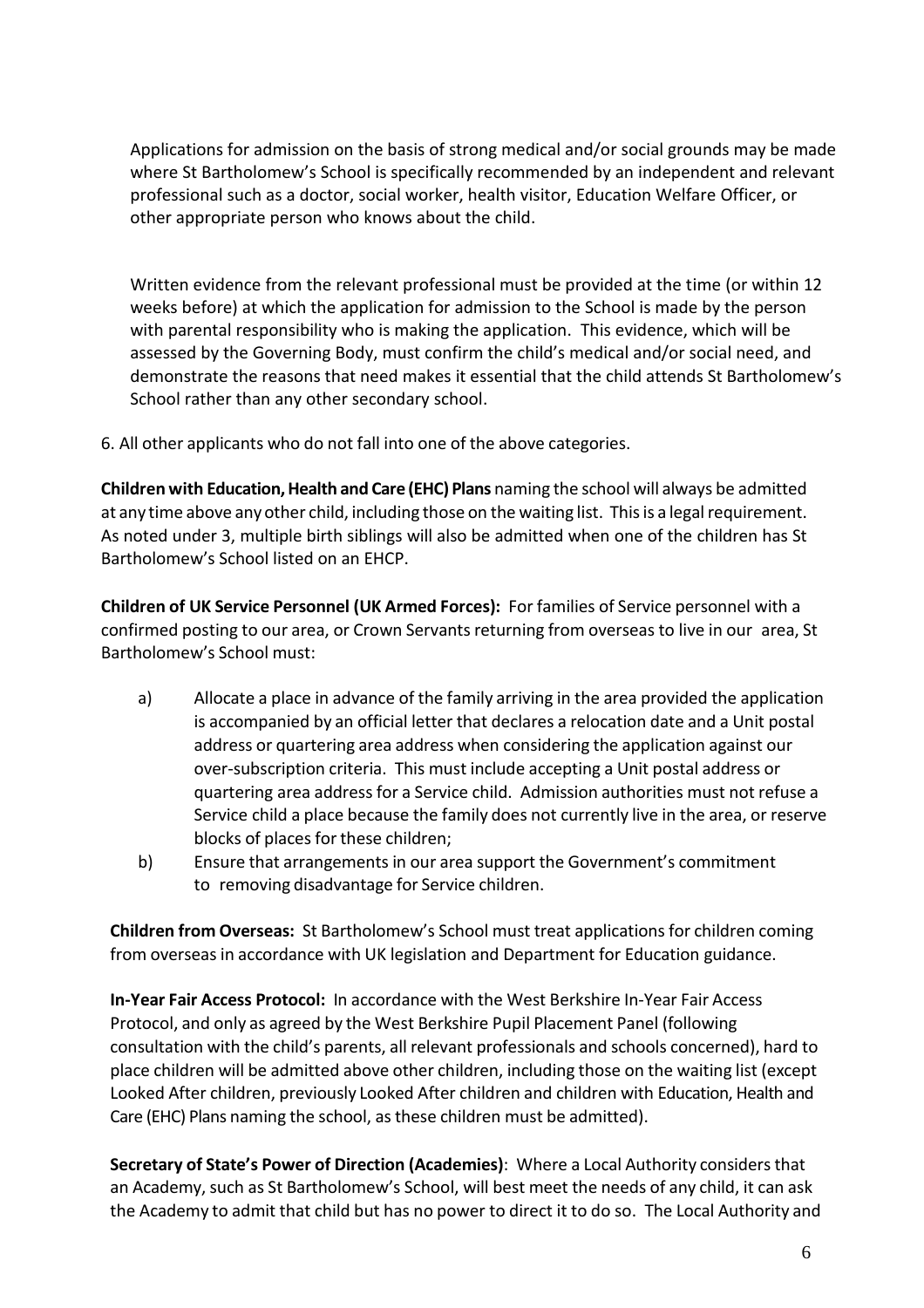Applications for admission on the basis of strong medical and/or social grounds may be made where St Bartholomew's School is specifically recommended by an independent and relevant professional such as a doctor, social worker, health visitor, Education Welfare Officer, or other appropriate person who knows about the child.

Written evidence from the relevant professional must be provided at the time (or within 12 weeks before) at which the application for admission to the School is made by the person with parental responsibility who is making the application. This evidence, which will be assessed by the Governing Body, must confirm the child's medical and/or social need, and demonstrate the reasons that need makes it essential that the child attends St Bartholomew's School rather than any other secondary school.

6. All other applicants who do not fall into one of the above categories.

**Children with Education, Health and Care (EHC) Plans** naming the school will always be admitted at any time above anyother child, including those on the waiting list. Thisis a legal requirement. As noted under 3, multiple birth siblings will also be admitted when one of the children has St Bartholomew's School listed on an EHCP.

**Children of UK Service Personnel (UK Armed Forces):** For families of Service personnel with a confirmed posting to our area, or Crown Servants returning from overseas to live in our area, St Bartholomew's School must:

- a) Allocate a place in advance of the family arriving in the area provided the application is accompanied by an official letter that declares a relocation date and a Unit postal address or quartering area address when considering the application against our over-subscription criteria. This must include accepting a Unit postal address or quartering area address for a Service child. Admission authorities must not refuse a Service child a place because the family does not currently live in the area, or reserve blocks of places for these children;
- b) Ensure that arrangements in our area support the Government's commitment to removing disadvantage for Service children.

**Children from Overseas:** St Bartholomew's School must treat applicationsfor children coming from overseas in accordance with UK legislation and Department for Education guidance.

**In-Year Fair Access Protocol:** In accordance with the West Berkshire In-Year Fair Access Protocol, and only as agreed by the West Berkshire Pupil Placement Panel (following consultation with the child's parents, all relevant professionals and schools concerned), hard to place children will be admitted above other children, including those on the waiting list (except Looked After children, previously Looked After children and children with Education, Health and Care (EHC) Plans naming the school, asthese children must be admitted).

**Secretary of State's Power of Direction (Academies)**: Where a Local Authority considersthat an Academy, such as St Bartholomew's School, will best meet the needs of any child, it can ask the Academy to admit that child but has no power to direct it to do so. The Local Authority and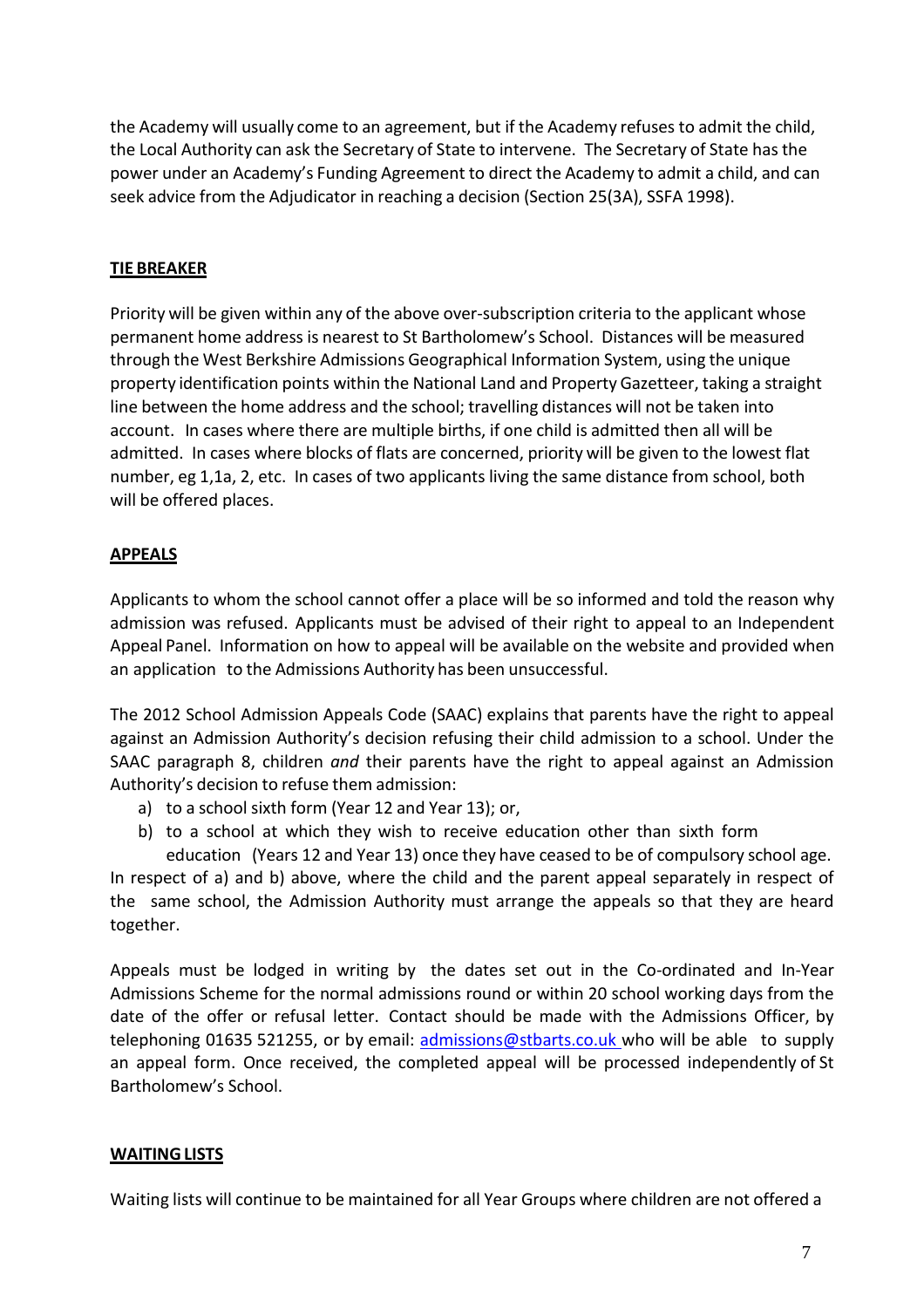the Academy will usually come to an agreement, but if the Academy refusesto admit the child, the Local Authority can ask the Secretary of State to intervene. The Secretary of State has the power under an Academy's Funding Agreement to direct the Academy to admit a child, and can seek advice from the Adjudicator in reaching a decision (Section 25(3A), SSFA 1998).

### **TIE BREAKER**

Priority will be given within any of the above over-subscription criteria to the applicant whose permanent home address is nearest to St Bartholomew's School. Distances will be measured through the West Berkshire Admissions Geographical Information System, using the unique property identification points within the National Land and Property Gazetteer, taking a straight line between the home address and the school; travelling distances will not be taken into account. In cases where there are multiple births, if one child is admitted then all will be admitted. In cases where blocks of flats are concerned, priority will be given to the lowest flat number, eg 1,1a, 2, etc. In cases of two applicants living the same distance from school, both will be offered places.

# **APPEALS**

Applicants to whom the school cannot offer a place will be so informed and told the reason why admission was refused. Applicants must be advised of their right to appeal to an Independent Appeal Panel. Information on how to appeal will be available on the website and provided when an application to the Admissions Authority has been unsuccessful.

The 2012 School Admission Appeals Code (SAAC) explains that parents have the right to appeal against an Admission Authority's decision refusing their child admission to a school. Under the SAAC paragraph 8, children *and* their parents have the right to appeal against an Admission Authority's decision to refuse them admission:

- a) to a school sixth form (Year 12 and Year 13); or,
- b) to a school at which they wish to receive education other than sixth form education (Years 12 and Year 13) once they have ceased to be of compulsory school age.

In respect of a) and b) above, where the child and the parent appeal separately in respect of the same school, the Admission Authority must arrange the appeals so that they are heard together.

Appeals must be lodged in writing by the dates set out in the Co-ordinated and In-Year Admissions Scheme for the normal admissions round or within 20 school working days from the date of the offer or refusal letter. Contact should be made with the Admissions Officer, by telephoning 01635 521255, or by email: [admissions@stbarts.co.uk](mailto:Jwebster@stbarts.co.uk) who will be able to supply an appeal form. Once received, the completed appeal will be processed independently of St Bartholomew's School.

# **WAITINGLISTS**

Waiting lists will continue to be maintained for all Year Groups where children are not offered a